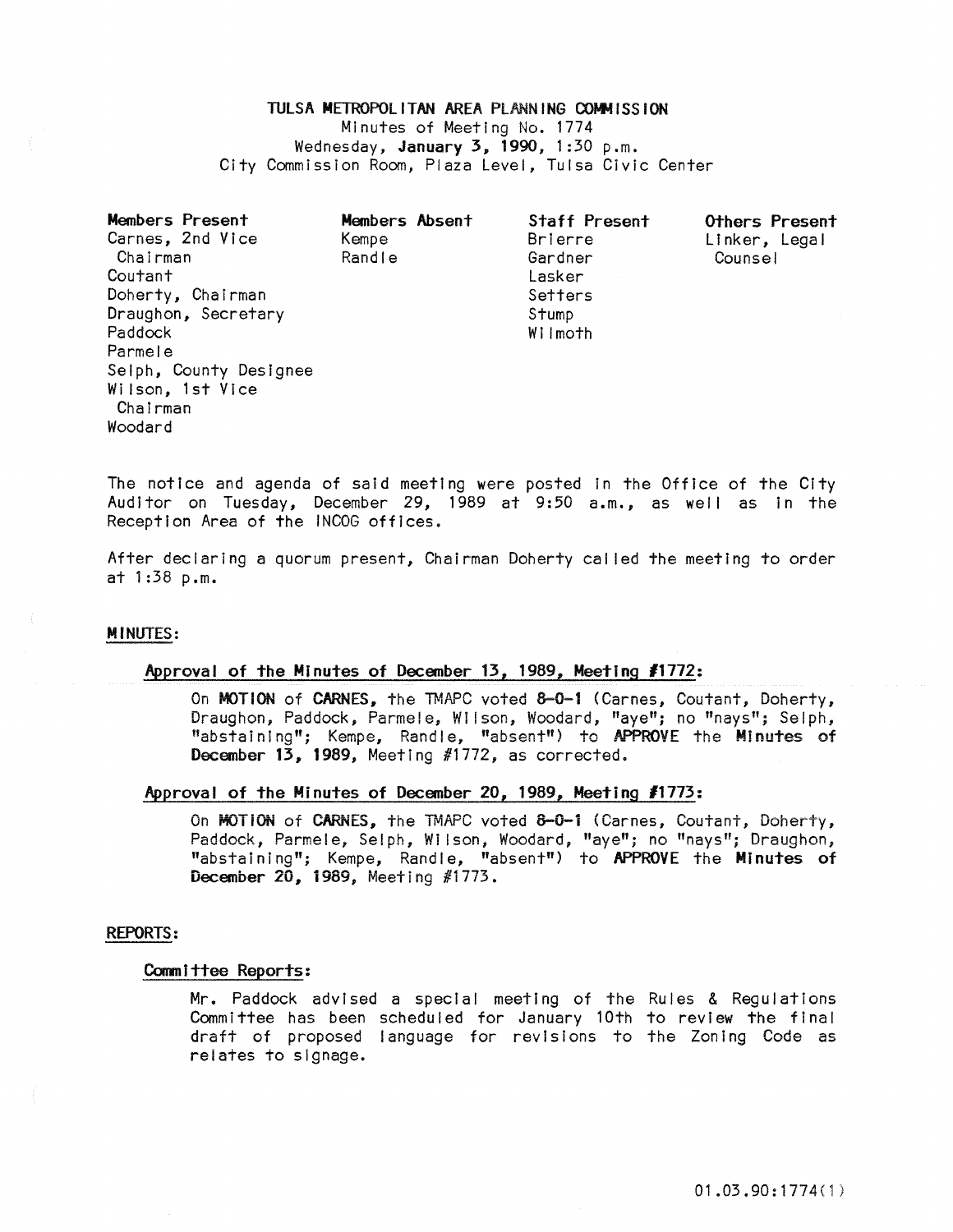# TULSA METROPOLITAN AREA PLANNING COMMISSION Minutes of Meeting No. 1774 Wednesday, January 3, 1990, 1:30 p.m. City Commission Room, Plaza Level, Tulsa Civic Center

| Members Present<br>Carnes, 2nd Vice | Members Absent<br>Kempe | <b>Staff Present</b><br>Brierre | Others Present<br>Linker, Legal |
|-------------------------------------|-------------------------|---------------------------------|---------------------------------|
| Chairman                            | Randle                  | Gardner                         | Counsel                         |
| Coutant                             |                         | Lasker                          |                                 |
| Doherty, Chairman                   |                         | Setters                         |                                 |
| Draughon, Secretary                 |                         | Stump                           |                                 |
| Paddock                             |                         | Wilmoth                         |                                 |
| Parmele                             |                         |                                 |                                 |
| Selph, County Designee              |                         |                                 |                                 |
| Wilson, 1st Vice                    |                         |                                 |                                 |
| Chairman                            |                         |                                 |                                 |
| Woodard                             |                         |                                 |                                 |

The notice and agenda of said meeting were posted in the Office of the City Auditor on Tuesday, December 29, 1989 at 9:50 a.m., as well as In the Reception Area of the INCOG offices.

After declaring a quorum present, Chairman Doherty cal led the meeting to order at 1 :38 p.m.

#### MINUTES:

### Approval of the Minutes of December 13, 1989, Meeting #1772:

On MOTION of CARNES, the TMAPC voted 8-0-1 (Carnes, Coutant, Doherty, Draughon, Paddock, Parmele, Wilson, Woodard, "aye"; no "nays"; Selph, "abstaining"; Kempe, Randle, "absent") to APPROVE the Minutes of December 13, 1989, Meeting #1772, as corrected.

### Approval of the Minutes of December 20, 1989, Meeting *11113:*

On MOTION of CARNES, the TMAPC voted 8-0-1 (Carnes, Coutant, Doherty, Paddock, Parmele, Selph, Wilson, Woodard, "aye"; no "nays"; Draughon, "abstaining"; Kempe, Randle, "absent") to APPROVE the Minutes of December 20, i989, Meeting #i773.

#### REPORTS:

### Committee Reports:

Mr. Paddock advised a special meeting of the Rules & Regulations Committee has been scheduled for January 10th to review the final draft of proposed language for revisions to the Zoning Code as relates to slgnage.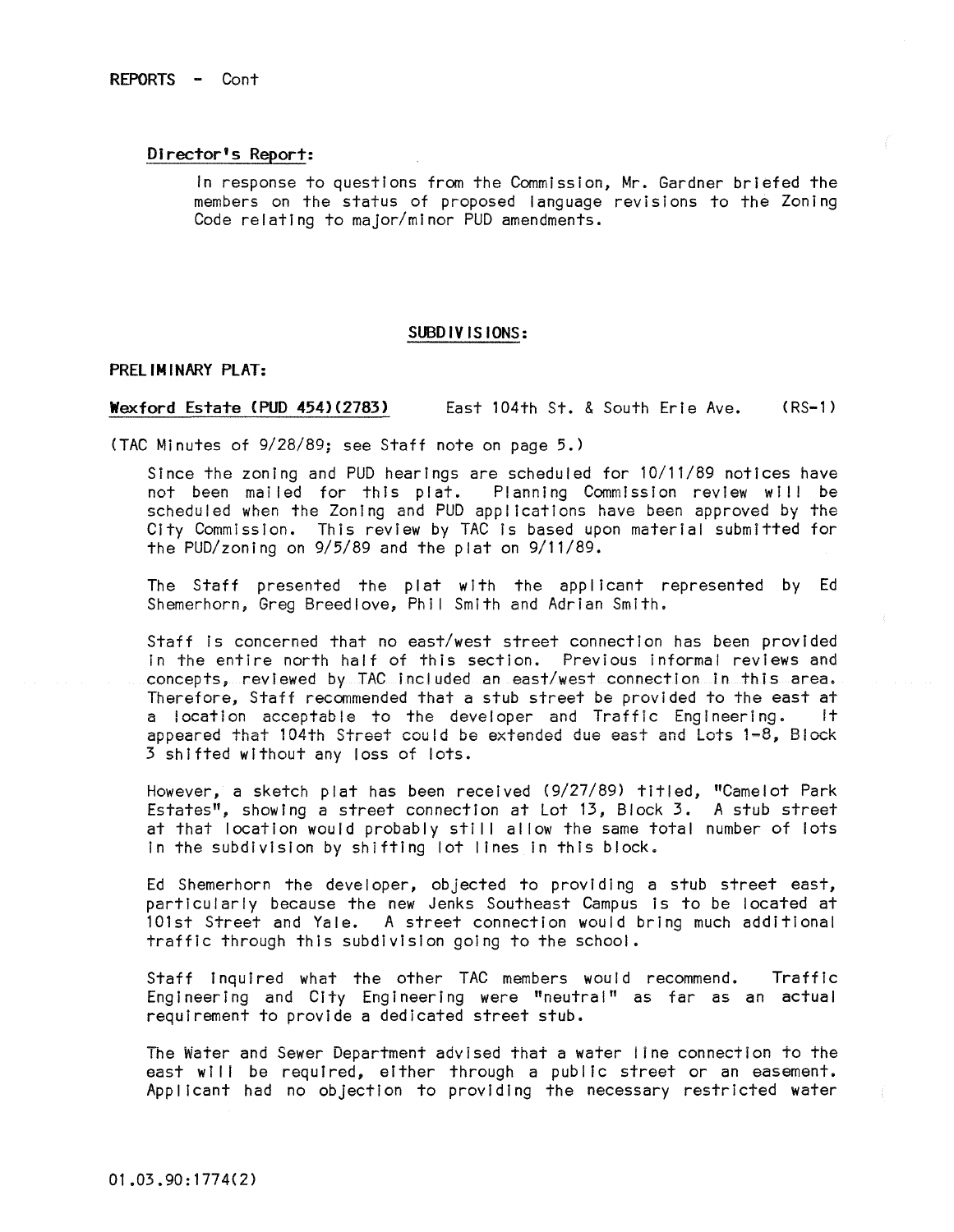# Director's Report:

In response to questions from the Commission, Mr. Gardner briefed the members on the status of proposed language revisions to the Zoning Code relating to major/minor PUD amendments.

#### SUBDIVISIONS:

### PRELIMINARY PLAT:

#### Wexford Estate (PUD 454)(2783) East 104th St. & South Erie Ave. (RS-1)

(TAC Minutes of 9/28/89; see Staff note on page 5.)

Since the zoning and PUD hearings are scheduled for 10/11/89 notices have not been mailed for this plat. Planning Commission review will be scheduled when the Zoning and PUD applications have been approved by the City CommissIon. This review by TAC Is based upon material submitted for the PUD/zoning on 9/5/89 and the plat on 9/11/89.

The Staff presented the plat with the applicant represented by Ed Shemerhorn, Greg Breedlove, Phil Smith and Adrian Smith.

Staff is concerned that no east/west street connection has been provided In the entire north half of this section. Previous informal reviews and concepts, reviewed by TAC included an east/west connection in this area. Therefore, Staff recommended that a stub street be provided to the east at a location acceptable to the developer and Traffic Engineering. It a location acceptable to the developer and Traffic Engineering. appeared that 104th Street could be extended due east and Lots 1~8, Block 3 shifted without any loss of lots.

However, a sketch plat has been received (9/27/89) titled, "Camelot Park Estates", showing a street connection at Lot 13, Block 3. A stub street at that location would probably still allow the same total number of lots In the subdivision by shifting lot lines in this block.

Ed Shemerhorn the developer, objected to providing a stub street east, particularly because the new Jenks Southeast Campus is to be located at 101st Street and Yale. A street connection would bring much additional traffic through this subdivision going to the school.

Staff Inquired what the other TAC members would recommend. Traffic Engineering and City Engineering were "neutral" as far as an actual requirement to provide a dedicated street stub.

The Water and Sewer Department advised that a water line connection to the east will be required, either through a public street or an easement. Applicant had no objection to providing the necessary restricted water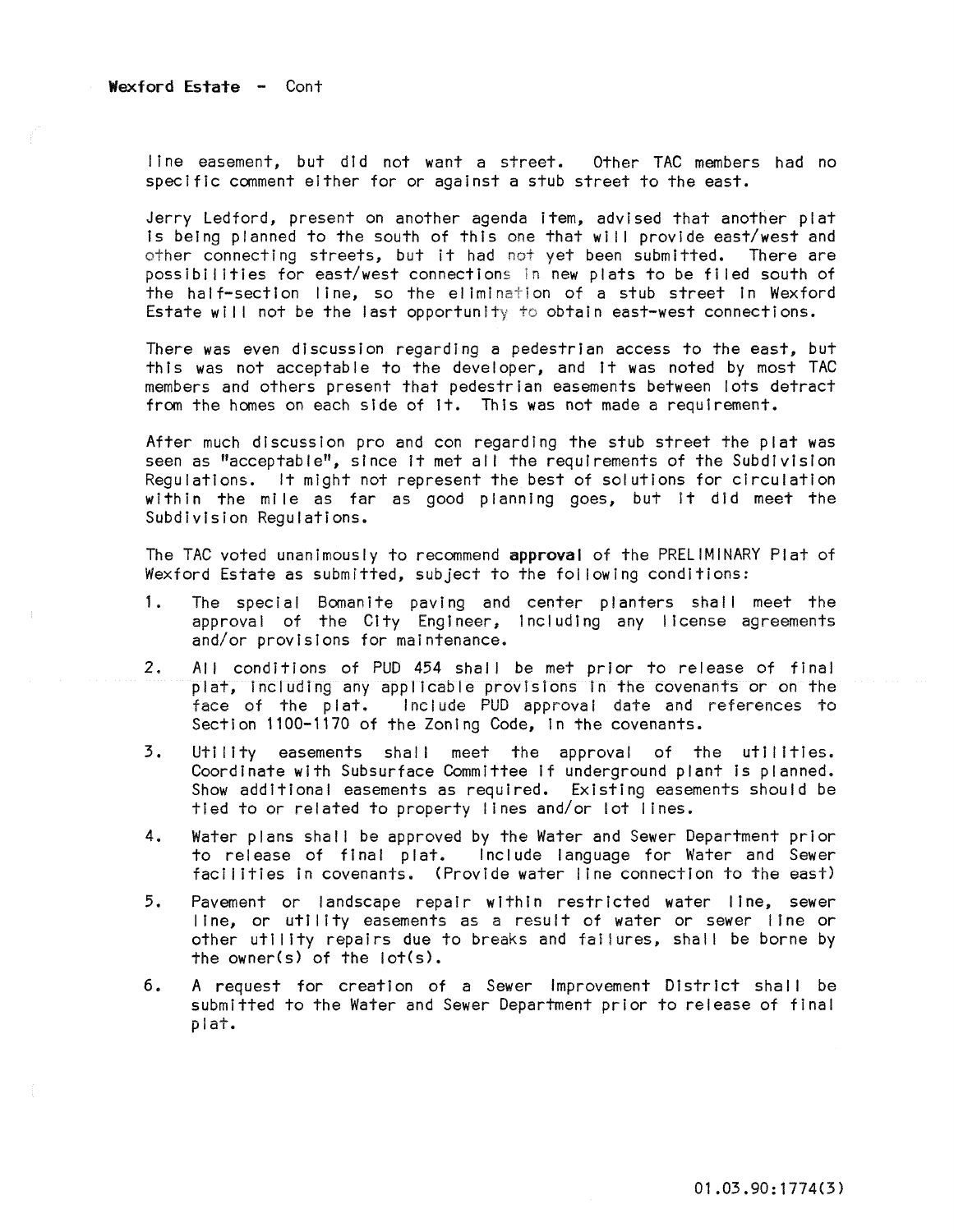line easement, but did not want a street. Other TAC members had no specific comment either for or against a stub street to the east.

Jerry Ledford, present on another agenda item, advised that another plat is being planned to the south of this one that will provide east/west and other connecting streets, but it had not yet been submitted. There are possibilities for east/west connections in new plats to be filed south of the half-section line, so the elimination of a stub street in Wexford Estate will not be the last opportunity to obtain east-west connections.

There was even discussion regarding a pedestrian access to the east, but this was not acceptable to the developer, and it was noted by most TAC members and others present that pedestrian easements between lots detract from the homes on each side of it. This was not made a requirement.

After much discussion pro and con regarding the stub street the plat was seen as "acceptable", since it met all the requirements of the Subdivision Regulations. It might not represent the best of solutions for circulation within the mile as far as good planning goes, but It did meet the Subdivision Regulations.

The TAC voted unanimously to recommend approval of the PRELIMINARY Plat of Wexford Estate as submitted, subject to the fol lowing conditions:

- 1. The special Bomanite paving and center planters shall meet the approval of the City Engineer, Including any license agreements and/or provisions for maintenance.
- 2. All conditions of PUD 454 shall be met prior to release of final plat, Including any applicable provisions In the covenants or on the face of the plat. Include PUD approval date and references to Section 1100-1170 of the Zoning Code, In the covenants.
- 3. Utility easements shall meet the approval of the utilities. Coordinate with Subsurface Committee If underground plant Is planned. Show additional easements as required. Existing easements should be tied to or related to property lines and/or lot lines.
- 4. Water plans shal! be approved by the Water and Sewer Department prior to release of final plat. Include language for Water and Sewer facilities in covenants. (Provide water line connection to the east)
- 5. Pavement or landscape repair within restricted water line, sewer line, or utility easements as a result of water or sewer line or other utility repairs due to breaks and failures, shall be borne by the owner(s) of the lot(s).
- 6. A request for creation of a Sewer Improvement District shall be submitted to the Water and Sewer Department prior to release of final plat.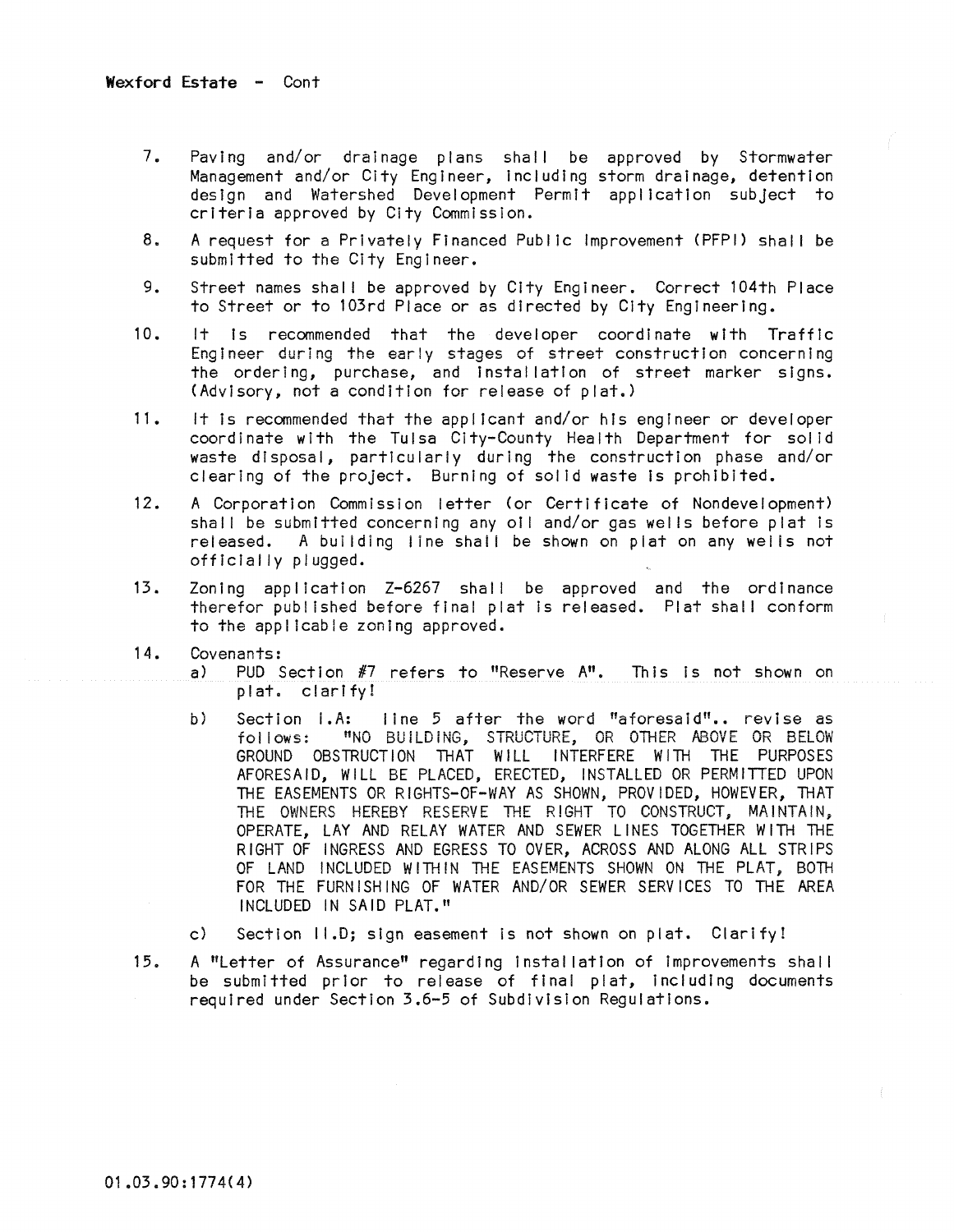- 7. Paving and/or drainage plans shall be approved by Stormwater Management and/or City Engineer, Including storm drainage, detention design and Watershed Development Permit application subject to criteria approved by City Commission.
- 8. A request for a Privately Financed Public Improvement (PFPI) shall be submitted to the City Engineer.
- 9. Street names shall be approved by City Engineer. Correct 104th Place to Street or to 103rd Place or as directed by City Engineering.
- 10. It Is recommended that the developer coordinate with Traffic Engineer during the early stages of street construction concerning the ordering, purchase, and installatton of street marker signs. (Advisory, not a condition for release of plat.)
- 11. It is recommended that the applicant and/or his engineer or developer coordinate with the Tulsa City-County Health Department for solid waste disposal, particularly during the construction phase and/or clearing of the proJect. Burning of solid waste Is prohibited.
- 12. A Corporation Commission letter (or Certificate of Nondevelopment) shall be submitted concerning any oil and/or gas wells before plat is released. A building line shall be shown on plat on any wells not officially plugged.
- 13. Zoning application Z-6267 shal I be approved and the ordinance therefor published before final plat is released. Plat shall conform to the appl lcable zoning approved.
- 14. Covenants:
	- a) PUD Section #7 refers to "Reserve A". This is not shown on plat. clarify!
	- b) Section I.A: line 5 after the word "aforesaid".. revise as follows: "NO BUILDING, STRUCTURE, OR OTHER M30VE OR BELOy' GROUND OBSTRUCTION THAT WILL INTERFERE WITH THE PURPOSES AFORESAID, WILL BE PLACED, ERECTED, INSTALLED OR PERMITTED UPON THE EASEMENTS OR RIGHTS-OF-WAY AS SHOWN, PROVIDED, HOWEVER, THAT THE OWNERS HEREBY RESERVE THE RIGHT TO CONSTRUCT, MAINTAIN, OPERATE, LAY AND RELAY WATER AND SEWER LINES TOGETHER WITH THE RIGHT OF INGRESS AND EGRESS TO OVER, ACROSS AND ALONG ALL STRIPS OF LAND INCLUDED WITHIN THE EASEMENTS SHOWN ON THE PLAT, BOTH FOR THE FURNISHING OF WATER AND/OR SEWER SERVICES TO THE AREA INCLUDED IN SAID PLAT."
	- c) Section II.D; sign easement is not shown on plat. Clarify!
- 15. A "Letter of Assurance" regarding installation of improvements shall be submitted prior to release of final plat, Including documents required under Section 3.6-5 of Subdivision Regulations.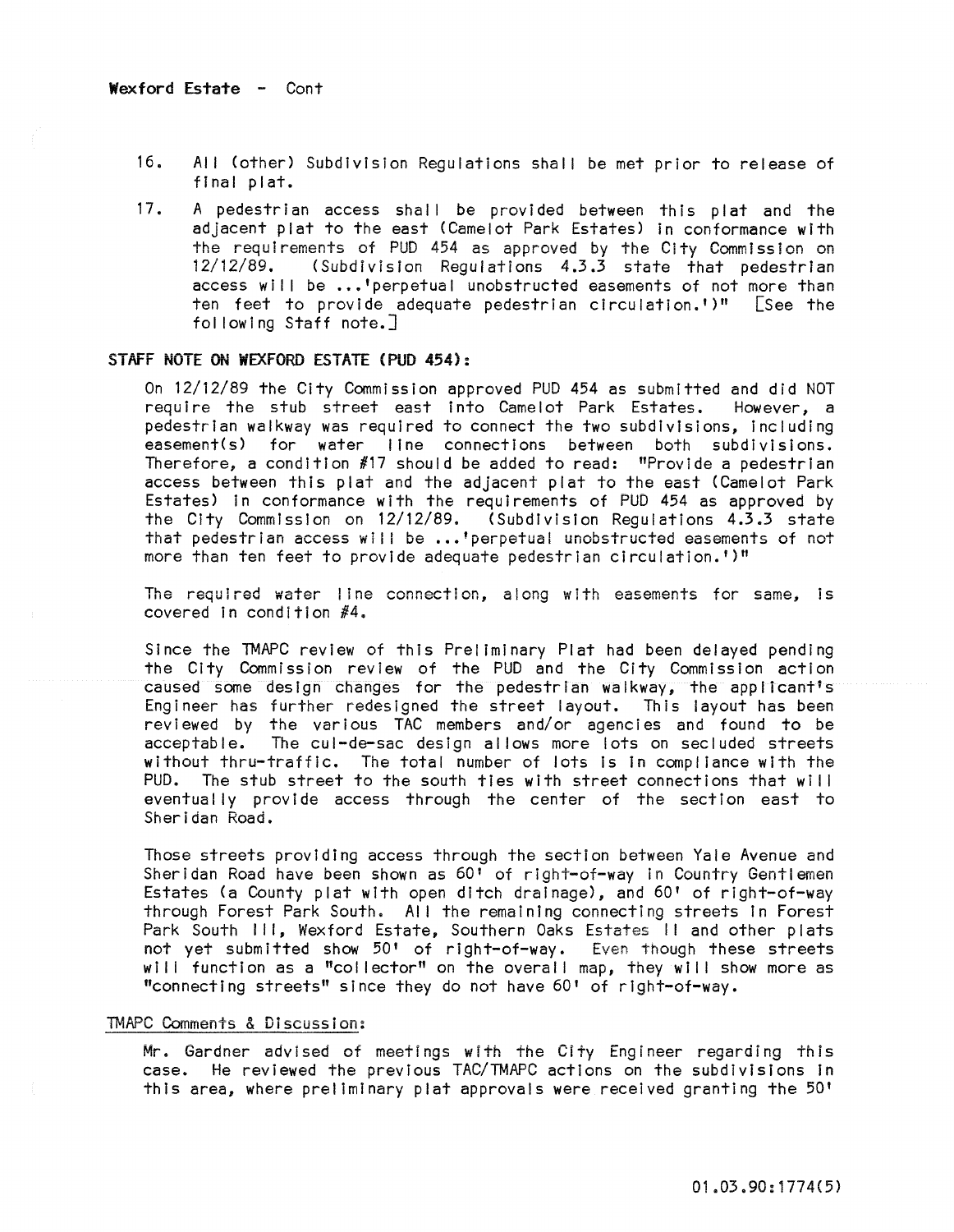- 16. All (other) Subdivision Regulations shall be met prior to release of final plat.
- 17. A pedestrian access shall be provided between this plat and the adjacent plat to the east (Camelot Park Estates) in conformance with the requirements of PUD 454 as approved by the City Commission on  $12/12/89$ . (Subdivision Requiations 4.3.3 state that pedestrian  $12.3$  (Subdivision Regulations 4.3.3 state that pedestrian access will be ...'perpetual unobstructed easements of not more than ten feet to provide adequate pedestrian circulation.')" [See the fol lowing Staff note.]

### STAFF NOTE ON WEXFORD ESTATE (PUD 454):

On 12/12/89 the City Commission approved PUD 454 as submitted and did NOT require the stub street east into Camelot Park Estates. However, a pedestrian walkway was required to connect the two subdivisions, Including easement(s) for water line connections between both subdivisions. Therefore, a condition  $#17$  should be added to read: "Provide a pedestrian access between this plat and the adjacent plat to the east (Camelot Park Estates) In conformance with the requirements of PUD 454 as approved by the City Commission on 12/12/89. (Subdivision Regulations 4.3.3 state that pedestrian access will be ...'perpetual unobstructed easements of not more than ten feet to provide adequate pedestrian circulation.')"

The required water line connection, along with easements for same, is covered in condition  $#4$ .

Since the TMAPC review of this Preliminary Plat had been delayed pending the City Commission review of the PUD and the City Commission action caused some design changes for the pedestrian walkway, the applicant's Engineer has further redesigned the street layout. This layout has been reviewed by the various TAC members and/or agencies and found to be<br>acceptable. The cul-de-sac design allows more lots on secluded streets The cul-de-sac design allows more lots on secluded streets without thru-traffic. The total number of lots is in compliance with the PUD. The stub street to the south ties with street connections that will eventually provide access through the center of the section east to Sheridan Road.

Those streets providing access through the section between Yale Avenue and Sheridan Road have been shown as 60' of right-of-way In Country Gentlemen Estates (a County plat with open ditch drainage), and 60' of right-of-way through Forest Park South. All the remaining connecting streets in Forest Park South III, Wexford Estate, Southern Oaks Estates II and other plats not yet submitted show 50' of right-of-way. Even though these streets will function as a "collector" on the overall map, they will show more as "connecting streets" since they do not have 60' of right-of-way.

## TMAPC Comments & Discussion:

Mr. Gardner advised of meetings with the City Engineer regarding this case. He reviewed the previous TAC/TMAPC actions on the subdivisions In this area, where preliminary plat approvals were received granting the 50'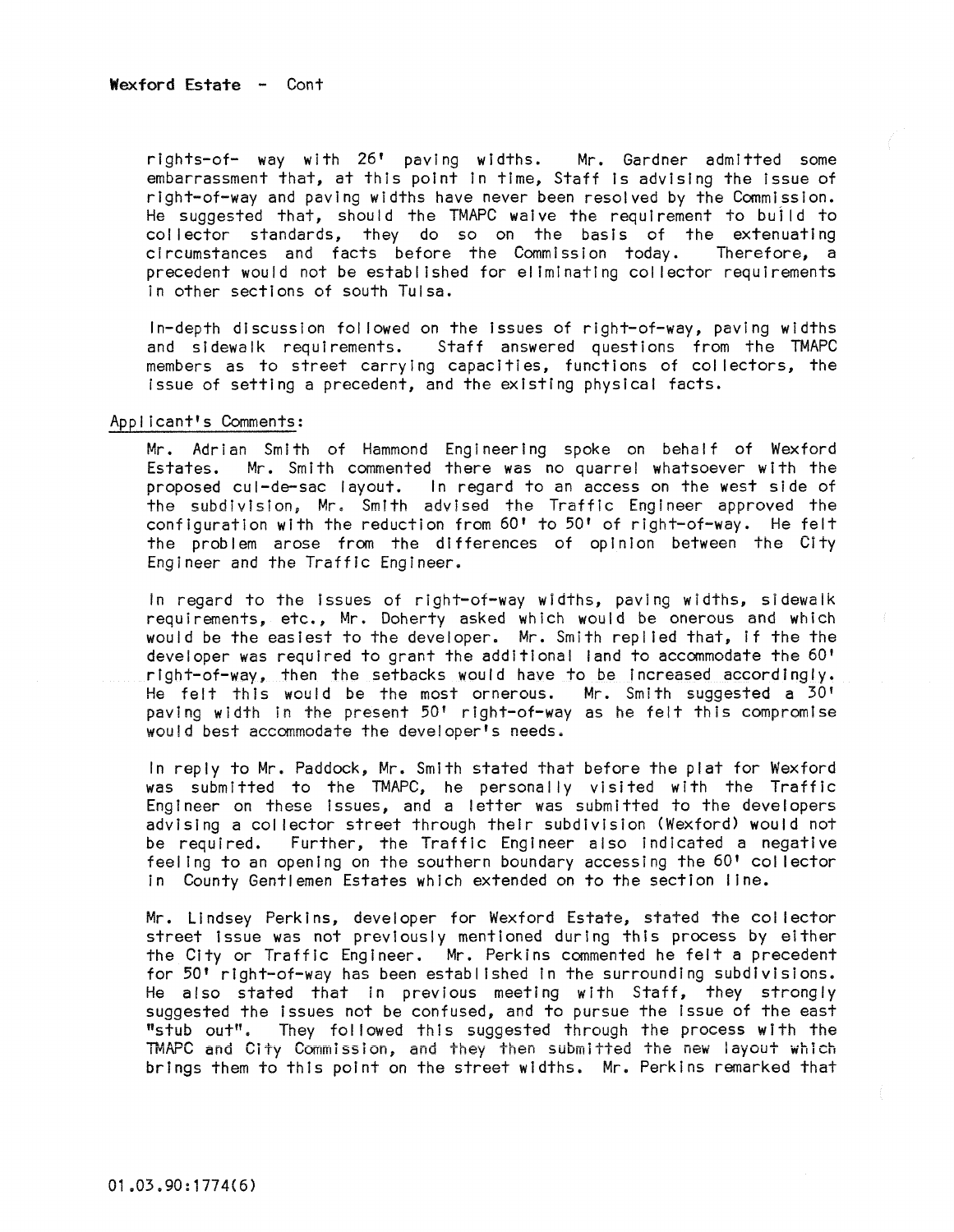rlghts-of- way with 26' paving widths. Mr. Gardner admitted some embarrassment that, at this point In time, Staff Is advising the issue of right-of-way and paving widths have never been resolved by the Commission. He suggested that, should the TMAPC waive the requirement to buj Id to col lector standards, they do so on the basis of the extenuating circumstances and facts before the Commission today. precedent would not be established for eliminating col lector requirements In other sections of south Tulsa.

In-depth discussion fol lowed on the Issues of right-of-way, paving widths and sidewalk requirements. Staff answered questions from the TMAPC members as to street carrying capacities, functions of collectors, the issue of setting a precedent, and the existing physical facts.

### Applicant's Comments:

Mr. Adrian Smith of Hammond Engineering spoke on behalf of Wexford Estates. Mr. Smith commented there was no quarrel whatsoever with the proposed cul-de-sac layout. In regard to an access on the west side of the subdivision, Mr. Smith advised the Traffic Engineer approved the configuration with the reduction from 60' to 50' of right-of-way. He felt the problem arose from the differences of opinion between the City Engineer and the Traffic Engineer.

In regard to the Issues of right-of-way widths, paving widths, sidewaik requirements, etc., Mr. Doherty asked which would be onerous and which would be the easiest to the developer. Mr. Smith replied that, if the the developer was required to grant the additional land to accommodate the 60' right-of-way, then the setbacks would have to be increased accordingly. He felt this would be the most ornerous. Mr. Smith suggested a 30' paving width in the present 50' right-of-way as he felt this compromise would best accommodate the developer's needs.

In reply to Mr. Paddock, Mr. Smith stated that before the plat for Wexford was submitted to the TMAPC, he personally visited with the Traffic Engineer on these Issues, and a letter was submitted to the developers advising a collector street through their subdivision (Wexford) would not<br>be required. Further, the Traffic Engineer also indicated a negative Further, the Traffic Engineer also indicated a negative feeling to an opening on the southern boundary accessing the 60' col lector in County Gentlemen Estates which extended on to the section line.

Mr. LIndsey Perkins, developer for Wexford Estate, stated the collector street Issue was not previously mentioned during this process by either the City or Traffic Engineer. Mr. Perkins commented he felt a precedent for 50' right-of-way has been established tn the surrounding subdivisions. He also stated that In previous meeting with Staff, they strongly suggested the Issues not be confused, and to pursue the Issue of the east "stub out". They followed this suggested through the process with the TMAPC and City Commission, and they then submitted the new layout which brings them to this point on the street widths. Mr. Perkins remarked that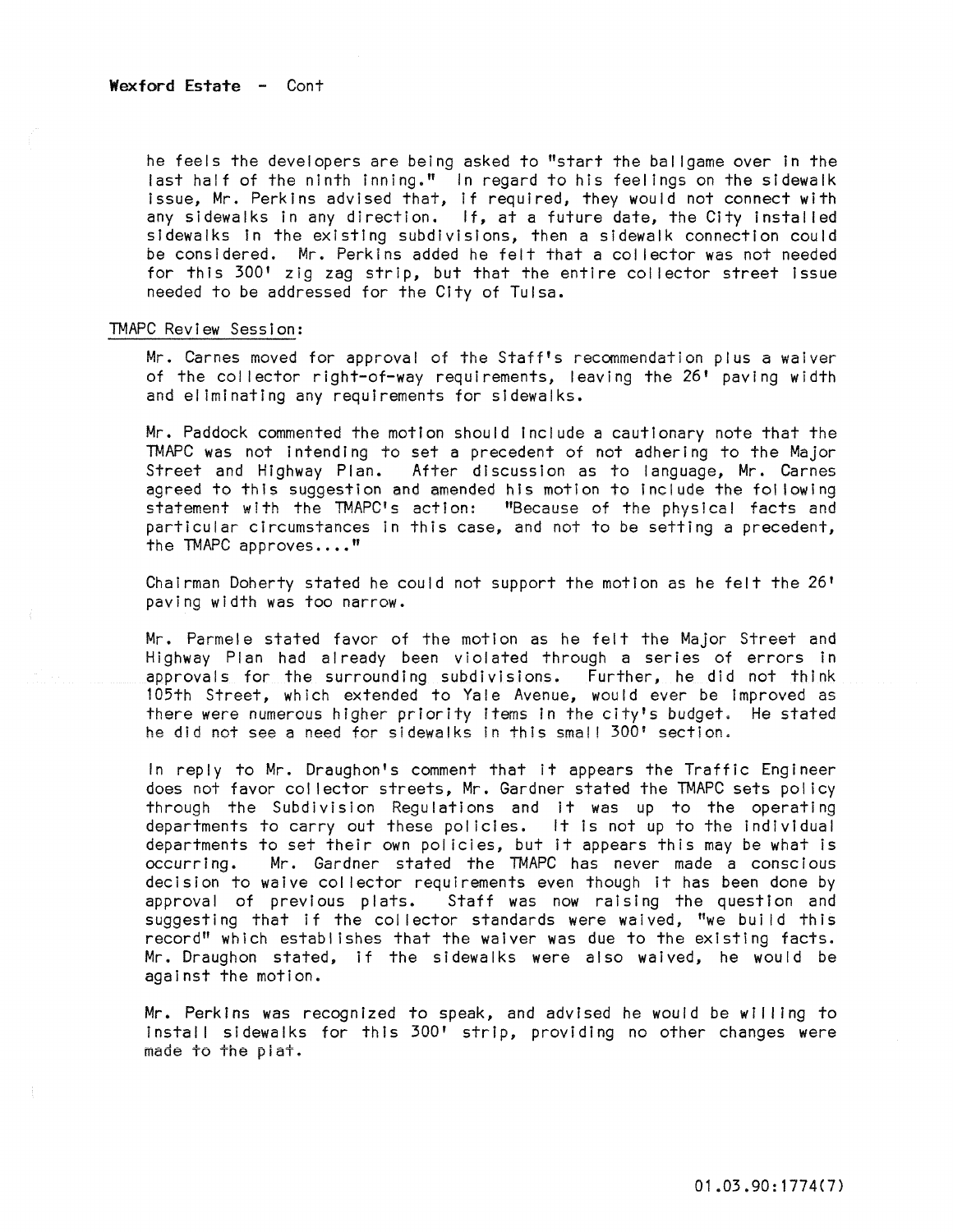he feels the developers are being asked to "start the bal Igame over in the last half of the ninth inning." In regard to his feelings on the sidewalk Issue, Mr. Perkins advised that, If required, they would not connect with any sidewalks in any direction. If, at a future date, the City instal led sidewalks In the existing subdivisions, then a sidewalk connection could be considered. Mr. Perkins added he felt that a col lector was not needed for this 300' zig zag strip, but that the entire col lector street Issue needed to be addressed for the City of Tulsa.

#### TMAPC Review Session:

Mr. Carnes moved for approval of the Staff's recommendation plus a waiver of the collector right-of-way requirements, leaving the 26' paving width and el iminatlng any requirements for sidewalks.

Mr. Paddock commented the motion should Include a cautionary note that the TMAPC was not intending to set a precedent of not adhering to the Major Street and Highway Plan. After discussion as to language, Mr. Carnes agreed to this suggestion and amended his motion to include the following statement with the TMAPC's action: "Because of the physical facts and particular circumstances in this case, and not to be setting a precedent, the TMAPC approves...."

Chairman Doherty stated he could not support the motion as he felt the 26' paving width was too narrow.

Mr. Parmele stated favor of the motion as he felt the Major Street and Highway Plan had already been violated through a series of errors in approvals for the surrounding subdivisions. Further, he did not think 105th Street, which extended to Yale Avenue, would ever be improved as there were numerous higher priority Items in the City's budget. He stated he did not see a need for sidewalks In this smal! 300' section.

In reply to Mr. Draughon's comment that it appears the Traffic Engineer does not favor col lector streets, Mr. Gardner stated the TMAPC sets pol icy through the Subdivision Regulations and it was up to the operating departments to carry out these policies. It is not up to the individual departments to set their own policies, but it appears this may be what is<br>occurring. Mr. Gardner stated the TMAPC has never made a conscious Mr. Gardner stated the TMAPC has never made a conscious decision to waive col lector requirements even though it has been done by approval of previous plats. Staff was now raising the question and suggesting that if the collector standards were waived, "we build this record" which establishes that the waiver was due to the existing facts. Mr. Draughon stated, if the sidewalks were also waived, he would be against the motion.

Mr. Perkins was recognized to speak, and advised he would be will ing to Install sidewalks for this 300' strip, providing no other changes were made to the piat.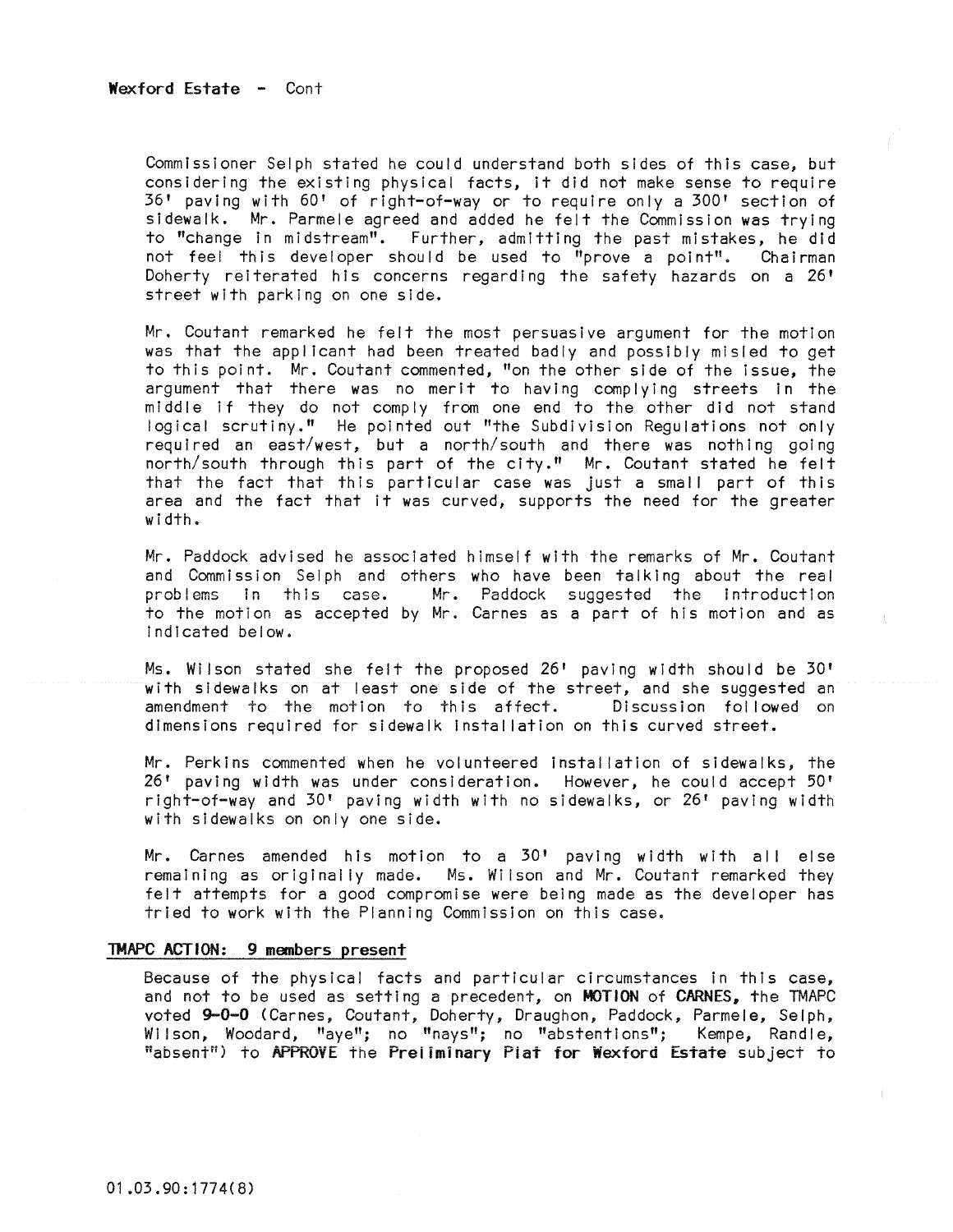Commissioner Selph stated he could understand both sides of this case, but considering the existing physical facts, it did not make sense to require 36' paving with 60' of right-of-way or to requIre only a 300' section of sidewalk. Mr. Parmele agreed and added he felt the Commission was trying to "change In mIdstream". Further, admittIng the past mIstakes, he did not feel this developer should be used to "prove a point". Chairman Doherty reiterated his concerns regarding the safety hazards on a  $26'$ street with parkIng on one sIde.

Mr. Coutant remarked he felt the most persuasIve argument for the motion was that the appl icant had been treated badly and possibly misled to get to this point. Mr. Coutant commented, "on the other side of the issue, the argument that there was no merit to having complying streets in the middle if they do not comply from one end to the other did not stand logical scrutiny." He pointed out "the Subdivision Regulations not only required an east/west, but a north/south and there was nothing going north/south through this part of the city." Mr. Coutant stated he felt that the fact that this particular case was just a small part of this area and the fact that It was curved, supports the need for the greater width.

Mr. Paddock advised he associated hImself wIth the remarks of Mr. Coutant and Commission Selph and others who have been talking about the real problems in this case. Mr. Paddock suggested the introduction to the motion as accepted by Mr. Carnes as a part of his motion and as Indicated below.

Ms. Wilson stated she felt the proposed 26' paving width should be 30' with sidewalks on at least one side of the street, and she suggested an<br>amendment to the motion to this affect. Discussion followed on amendment to the motion to this affect. dimensions required for sidewalk Installation on this curved street.

Mr. Perkins commented when he volunteered installation of sidewalks, the 26' paving width was under consideratIon. However, he could accept 50' right-of-way and 30' paving width with no sidewalks, or 26' paving width with sidewalks on only one side.

Mr. Carnes amended his motion to a 30' paving width with all else remaining as originally made. Ms. Wilson and Mr. Coutant remarked they felt attempts for a good compromise were being made as the developer has tried to work with the Planning Commission on this case.

### TMAPC ACTION: 9 members present

Because of the physical facts and particular circumstances in this case, and not to be used as setting a precedent, on MOTION of CARNES, the TMAPC voted 9-0-0 (Carnes, Coutant, Doherty, Draughon, Paddock, Parmele, Selph, Wilson, Woodard, "aye"; no "nays"; no "abstentions"; Kempe, Randle, "absent") to APPROVE the Preliminary Plat for Wexford Estate subject to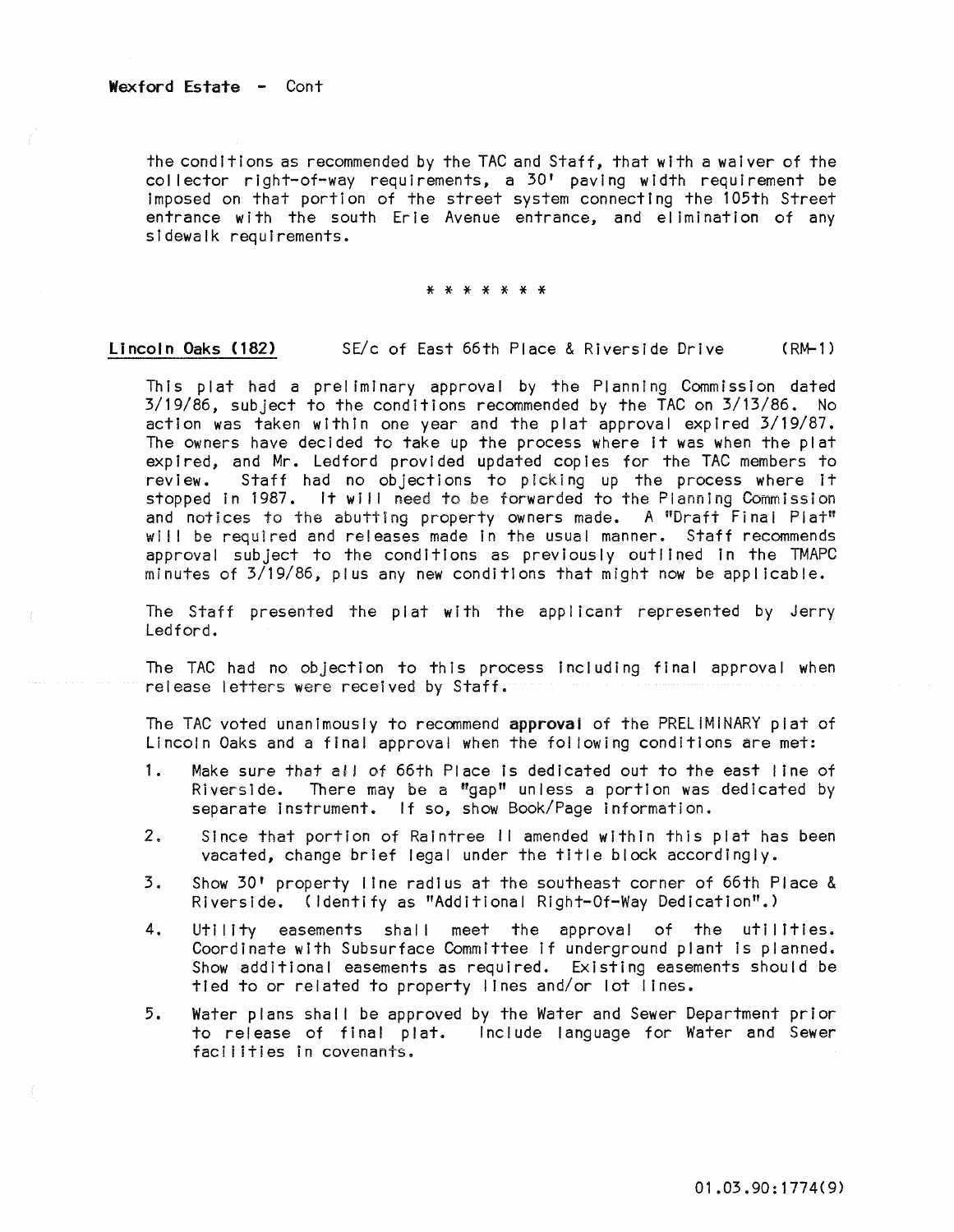the conditions as recommended by the TAC and Staff, that with a waiver of the collector right-of-way requirements, a 30' paving width requirement be Imposed on that portion of the street system connecting the 105th Street entrance with the south Erie Avenue entrance, and elimination of any sidewalk requirements.

\* \* \* \* \* \* \*

Lincoln Oaks (182) SE/c of East 66th Place & Riverside Drive (RM-1)

This plat had a preliminary approval by the Planning Commission dated 3/19/86, subject to the conditions recommended by the TAC on 3/13/86. No action was taken within one year and the plat approval expired 3/19/87. The owners have decided to take up the process where it was when the plat expired, and Mr. Ledford provided updated copies for the TAC members to<br>review. Staff had no objections to picking up the process where it Staff had no objections to picking up the process where it stopped in 1987. It will need to be forwarded to the Planning Commission and notices to the abutting property owners made. A "Draft Final Plat" will be required and releases made in the usual manner. Staff recommends approval subject to the conditions as previously outlined In the TMAPC minutes of 3/19/86, plus any new conditions that might now be applicable.

The Staff presented the plat with the applicant represented by Jerry Ledford.

The TAC had no objection to this process Including final approval when release letters were received by Staff.

The TAC voted unanimously to recommend approval of the PRELIMINARY plat of Lincoln Oaks and a final approval when the foi lowing conditions are met:

- 1. Make sure that all of 66th Place Is dedicated out to the east I ine of Riverside. There may be a "gap" unless a portion was dedicated by separate Instrument. If so, show Book/Page Information.
- 2. Since that portion of Raintree II amended within this plat has been vacated, change brief legal under the title block accordingly.
- 3. Show 30' property line radius at the southeast corner of 66th Place & Riverside. (Identify as "Additional Right-Of-Way Dedication".)
- 4. Utility easements shall meet the approval of the utilities. Coordinate with Subsurface Committee if underground plant is planned. Show additional easements as required. Existing easements should be tied to or related to property lines and/or lot lines.
- 5. Water plans shal I be approved by the Water and Sewer Department prior to release of final plat. Include language for Water and Sewer facilities in covenants.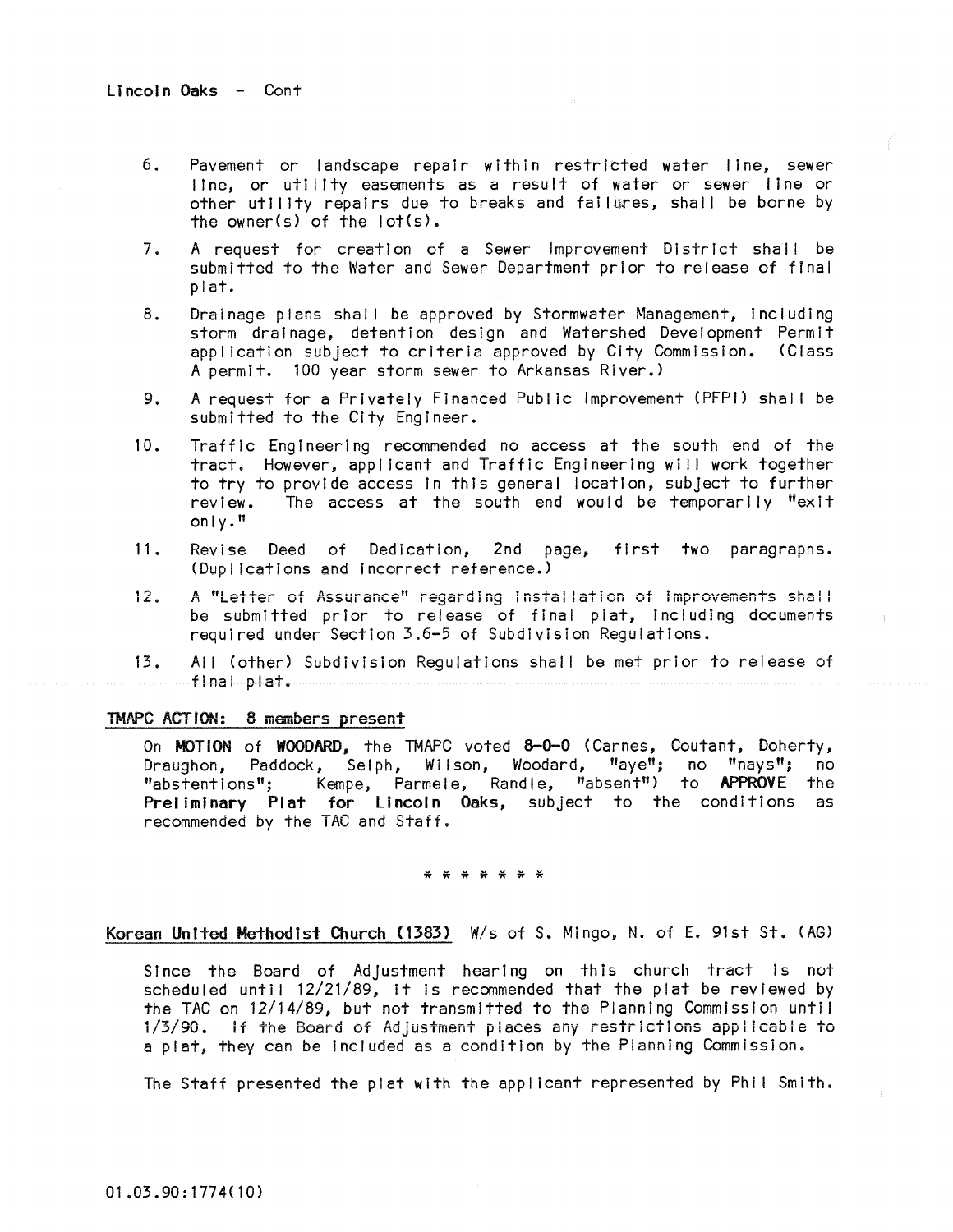- 6. Pavement or landscape repair within restricted water line, sewer line, or utility easements as a result of water or sewer line or other utility repairs due to breaks and failures, shall be borne by the owner(s) of the lot(s).
- $7.$ **<sup>A</sup>request for crest i on of a Sewer Improvement 01** str **i ct sha I I be**  submitted to the Water and Sewer Department prior to release of final plat.
- 8. Drainage plans shall be approved by Stormwater Management, including storm drainage, detention design and Watershed Development Permit appl icatlon subject to criteria approved by City Commission. (Class A permit. 100 year storm sewer to Arkansas River.)
- 9. A request for a Privately Financed Public Improvement (PFPI) shal I be submitted to the City Engineer.
- 10. Traffic Engineering recommended no access at the south end of the tract. However, applicant and Traffic Engineering wi I I work together to try to provide access In this general location, subject to further review. The access at the south end would be temporarily "exit only."
- 11. Revise Deed of Dedication, 2nd page, first two paragraphs. (Duplications and incorrect reference.)
- 12. A "Letter of Assurance" regarding installation of improvements shall be submitted prior to release of final plat, Including documents required under Section 3.6-5 of Subdivision Regulations.

13. All (other) Subdivision Regulations shall be met prior to release of final plat.

## TMAPC ACTION: 8 members present

On MOTION of WOODARD. the TMAPC voted 8-0-0 (Carnes, Coutant, Doherty, Draughon, Paddock, Selph, Wilson, Woodard, "aye"; no "nays"; no "abstentions"; Kempe, Parmele, Randle, "absent") to APPROVE the Preliminary Plat for Lincoln Oaks, subject to the conditions as recommended by the TAC and Staff.

#### \* \* \* \* \* \* \*

### Korean United Methodist Church (1383) W/s of S. Mingo, N. of E. 91st St. (AG)

Since the Board of Adjustment hearing on this church tract Is not scheduled until 12/21/89, it is recommended that the plat be reviewed by the TAC on 12/14/89, but not transmitted to the Planning Commission unti I i/3/90. If the Board of Adjustment places any restrictions applIcable to a plat, they can be included as a condition by the Planning Commission.

The Staff presented the plat with the applicant represented by Phil Smith.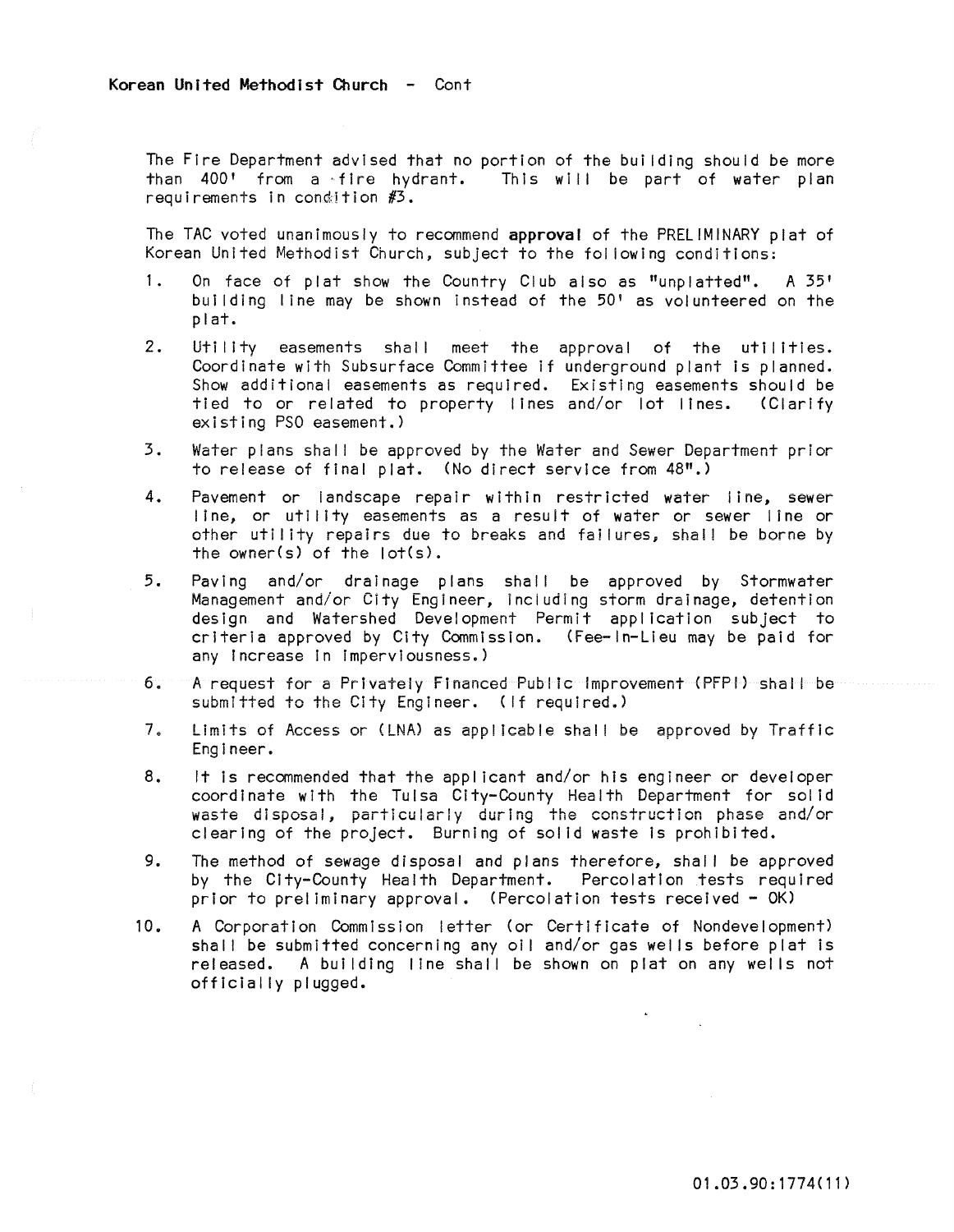The Fire Department advised that no portion of the bui Iding should be more than  $400'$  from a fire hydrant. This will be part of water plan requirements in condition  $#3$ .

The TAC voted unanimously to recommend approval of the PRELIMINARY plat of Korean United Methodist Church, subject to the fol lowing conditions:

- 1. On face of plat show the Country Club also as "unplatted". A 35' building I ine may be shown instead of the 50' as volunteered on the plat.
- 2. Utility easements shall meet the approval of the utilities. Coordinate with Subsurface Committee if underground plant is planned. Show additional easements as required. Existing easements should be tied to or related to property lines and/or lot lines. (Clarify existing PSO easement.)
- 3. Water plans shall be approved by the Water and Sewer Department prior to release of final plat. (No direct service from 48".)
- 4. Pavement or landscape repair within restricted water line, sewer line, or utility easements as a result of water or sewer line or other utility repairs due to breaks and failures, shall be borne by the owner(s) of the lot(s).
- 5. Paving and/or drainage plans shal I be approved by Stormwater Management and/or City Engineer, including storm drainage, detention design and Watershed Development Permit application subject to criteria approved by City Commission. (Fee-In-Lieu may be paid for any Increase In Imperviousness.)
- **6. A request for a Prtvateiy Financed Publ Ie Improvement (PFPI) shal I be**  submitted to the City Engineer. (If required.)
- 7. limits of Access or (LNA) as app! Icab!e shal! be approved by Traffic Engineer.
- 8, It is recommended that the applicant and/or his engineer or developer coordinate with the Tulsa City-County Health Department for solid waste disposal, particularly during the construction phase and/or clearing of the project. Burning of solid waste Is prohibited.
- 9. The method of sewage disposal and plans therefore, shall be approved by the City-County Health Department. Percolation tests required prior to prel imlnary approval. (Percolation tests received - OK)
- 10. A Corporation Commission letter (or Certificate of Nondevelopment) shall be submitted concerning any oil and/or gas wells before plat is released. A bui Iding line shall be shown on plat on any wells not officially plugged.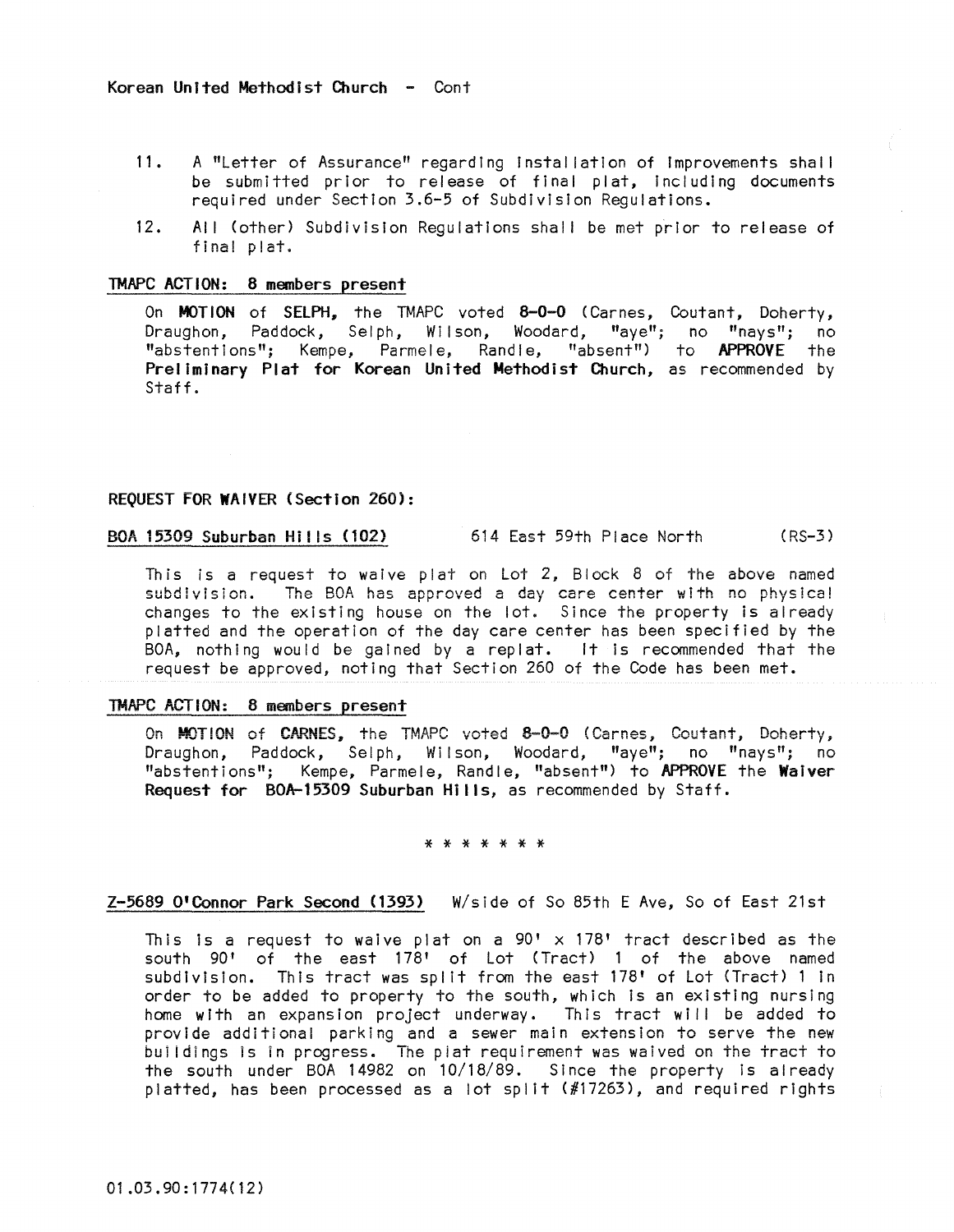- 11. A "Letter of Assurance" regarding installation of improvements shall be submitted prior to release of final plat, Including documents required under Section 3.6-5 of Subdivision Regulations.
- 12. All (other) Subdivision Regulations shall be met prior to release of final plat.

### TMAPC ACTION: 8 members present

On MOTION of SELPH, the TMAPC voted 8-0-0 (Carnes, Coutant, Doherty, Draughon, Paddock, Selph, Wilson, Woodard, "aye"; no "nays"; no "abstentions"; Kempe, Parmele, Randle, "absent") to APPROVE the Prel iminary Plat for Korean United Methodist Church, as recommended by Staff.

### REQUEST FOR WAIVER (Section 260):

BOA 15309 Suburban Hills (102) 614 East 59th Place North (RS-3)

This is a request to waive plat on Lot 2, Block 8 of the above named subdivision. The BOA has approved a day care center with no physical changes to the existing house on the lot. Since the property is already platted and the operation of the day care center has been specified by the BOA, nothing would be gained by a replat. It is recommended that the request be approved, noting that Section 260 of the Code has been met.

### TMAPC ACTION: 8 members present

On MOTION of CARNES, the TMAPC voted 8-0-0 (Carnes, Coutant, Doherty, Draughon, Paddock, Selph, Wi Ison, Woodard, "aye"; no "nays"; no "abstentions"; Kempe, Parmele, Randle, "absent") to APPROVE the Waiver Request for BOA-15309 Suburban Hills, as recommended by Staff.

## \* \* \* \* \* \* \*

### Z-5689 O'Connor Park Second (1393) W/side of So 85th E Ave, So of East 21st

This is a request to waive plat on a  $90' \times 178'$  tract described as the south 90' of the east 178' of Lot (Tract) 1 of the above named subdivision. This tract was split from the east 178' of Lot (Tract) 1 in order to be added to property to the south, which Is an existing nursing home with an expansion project underway. This tract will be added to provide additional parking and a sewer main extension to serve the new buildings is in progress. The plat requirement was waived on the tract to the south under BOA 14982 on 10/18/89. Since the property Is already platted, has been processed as a lot split (#17263), and required rights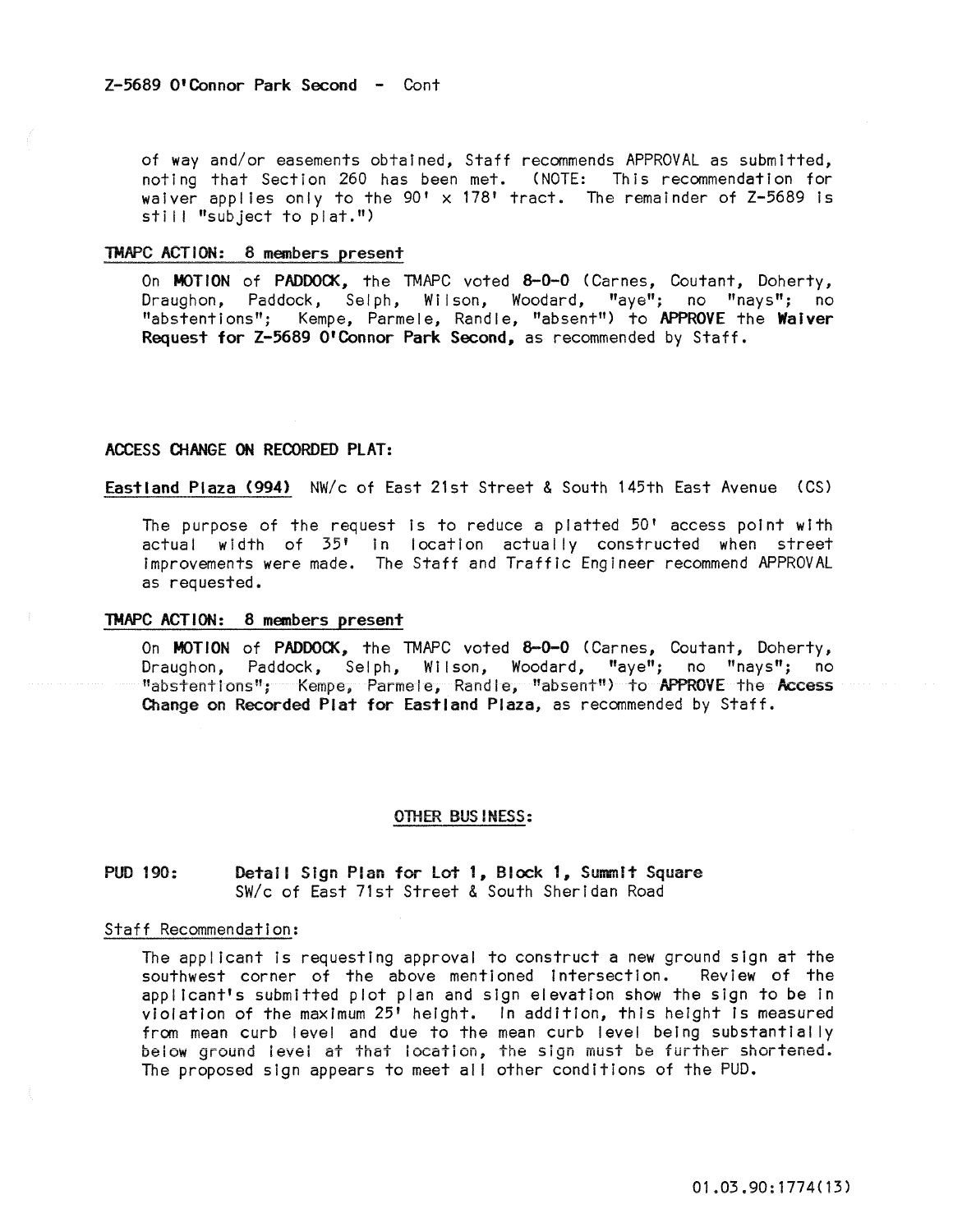of way and/or easements obtained, Staff recommends APPROVAL as submitted, noting that Section 260 has been met. (NOTE: This recommendation for waiver applies only to the 90' x 178' tract. The remainder of Z-5689 is  $still$  "subject to plat.")

### TMAPC ACT ION: 8 members present

On MOTION of PADDOCK, the TMAPC voted 8-0-0 (Carnes, Coutant, Doherty, Draughon, Paddock, Selph, Wilson, Woodard, "aye"; no "nays"; no "abstentions"; Kempe, Parmele, Randle, "absent") to APPROVE the Waiver Request for Z-5689 O'Connor Park Second, as recommended by Staff.

### ACCESS CHANGE ON RECORDED PLAT:

Eastland Plaza (994) NW/c of East 21st Street & South 145th East Avenue (CS)

The purpose of the request Is to reduce a platted 50' access point with actual width of 35' In location actually constructed when street Improvements were made. The Staff and Traffic Engineer recommend APPROVAL as requested.

### TMAPC ACTION: 8 members present

On MOTION of PADDOCK, the TMAPC voted 8-0-0 (Carnes, Coutant, Doherty, Draughon, Paddock, Selph, Wilson, Woodard, "aye"; no "nays"; no "abstentions"; Kempe, Parmele, Randle, "absent!!) to APPROVE the Access Change on Recorded Plat for Eastland Plaza, as recommended by Staff.

#### OTHER BUS INESS:

**PUD 190:** Detail SIgn Plan for lot 1, Block 1, Summit Square SW/c of East 71st Street & South Sheridan Road

#### Staff Recommendation:

The applicant Is requesting approval to construct a new ground sign at the southwest corner of the above mentioned intersection. Review of the appl icant's submitted plot plan and sign elevation show the sign to be In violation of the maximum 25' height. In addition, this height Is measured from mean curb level and due to the mean curb level being substantially below ground level at that location, the sign must be further shortened. The proposed sign appears to meet all other conditions of the PUD.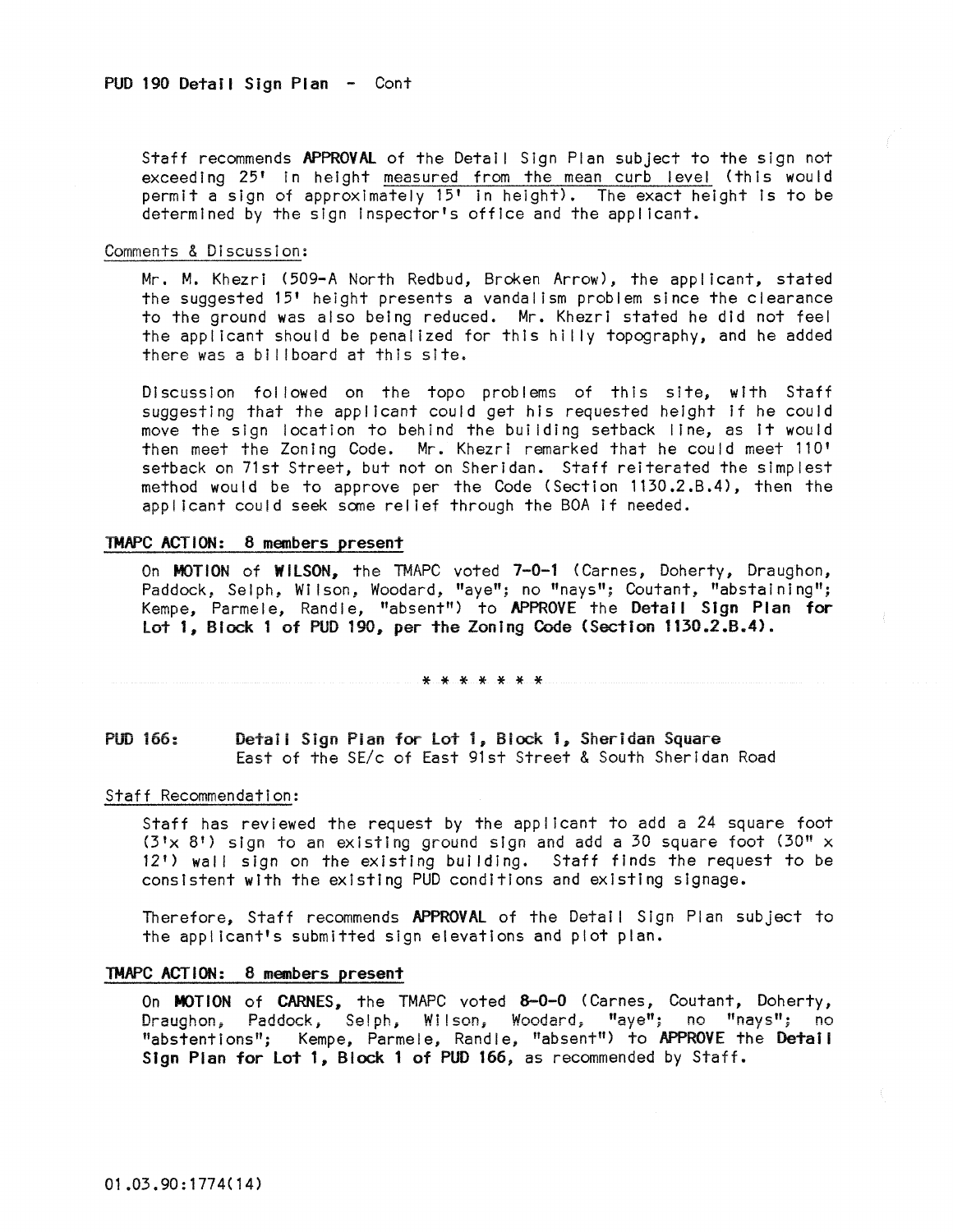Staff recommends APPROVAL of the Detail Sign Plan subject to the sign not exceeding 25' in height measured from the mean curb level (this would permit a sign of approximately 15' In height). The exact height Is to be determined by the sign Inspector's office and the applicant.

### Comments & Discussion:

Mr. M. Khezri (509-A North Redbud, Broken Arrow), the applicant, stated the suggested 15' height presents a vandalism problem sInce the clearance to the ground was also being reduced. Mr. Khezri stated he did not feel the applicant should be penalized for this hilly topography, and he added there was a bi I Iboard at this site.

Discussion fol lowed on the topo problems of this site, with Staff suggesting that the applicant could get his requested height If he could move the sign location to behind the but Iding setback line, as It would then meet the Zoning Code. Mr. Khezri remarked that he could meet 110' setback on 71st Street, but not on Sheridan. Staff reiterated the simplest method would be to approve per the Code (Section 1130.2.B.4). then the applicant could seek some relief through the BOA if needed.

### TMAPC ACT ION: 8 members present

On MOTION of WILSON, the TMAPC voted 7-0-1 (Carnes, Doherty, Draughon, Paddock, Selph, Wilson, Woodard, "aye"; no "nays"; Coutant, "abstaining"; Kempe, Parmele, Randle, "absent") to APPROVE the Detail Sign Plan for Lot 1, Block 1 of PUD 190, per the Zoning Code (Section 1130.2.B.4>,

#### \* \* \* \* \* \* \*

# pun 166: Detaii Sign Pian for Lot 1, Siock 1, Sheridan Square East of the SE/c of East 91st Street & South Sheridan Road

#### Staff Recommendation:

Staff has reviewed the request by the applicant to add a 24 square foot  $(3 \times 8!)$  sign to an existing ground sign and add a 30 square foot  $(30" \times 1)$ 12') wall sign on the existing building. Staff finds the request to be consistent with the existing PUD conditions and existing slgnage.

Therefore, Staff recommends APPROVAL of the Detail Sign Plan subject to the appl icant's submitted sign elevations and plot plan.

### TMAPC ACTION: 8 members present

On MOTION of CARNES, the TMAPC voted 8-0-0 (Carnes, Coutant, Doherty, Draughon, Paddock, Selph, Wilson, Woodard; "aye"; no "nays"; no "abstentions"; Kempe, Parmele, Randle, "absent") to APPROVE the Detail Sign Plan for Lot 1, Block 1 of PUD 166, as recommended by Staff.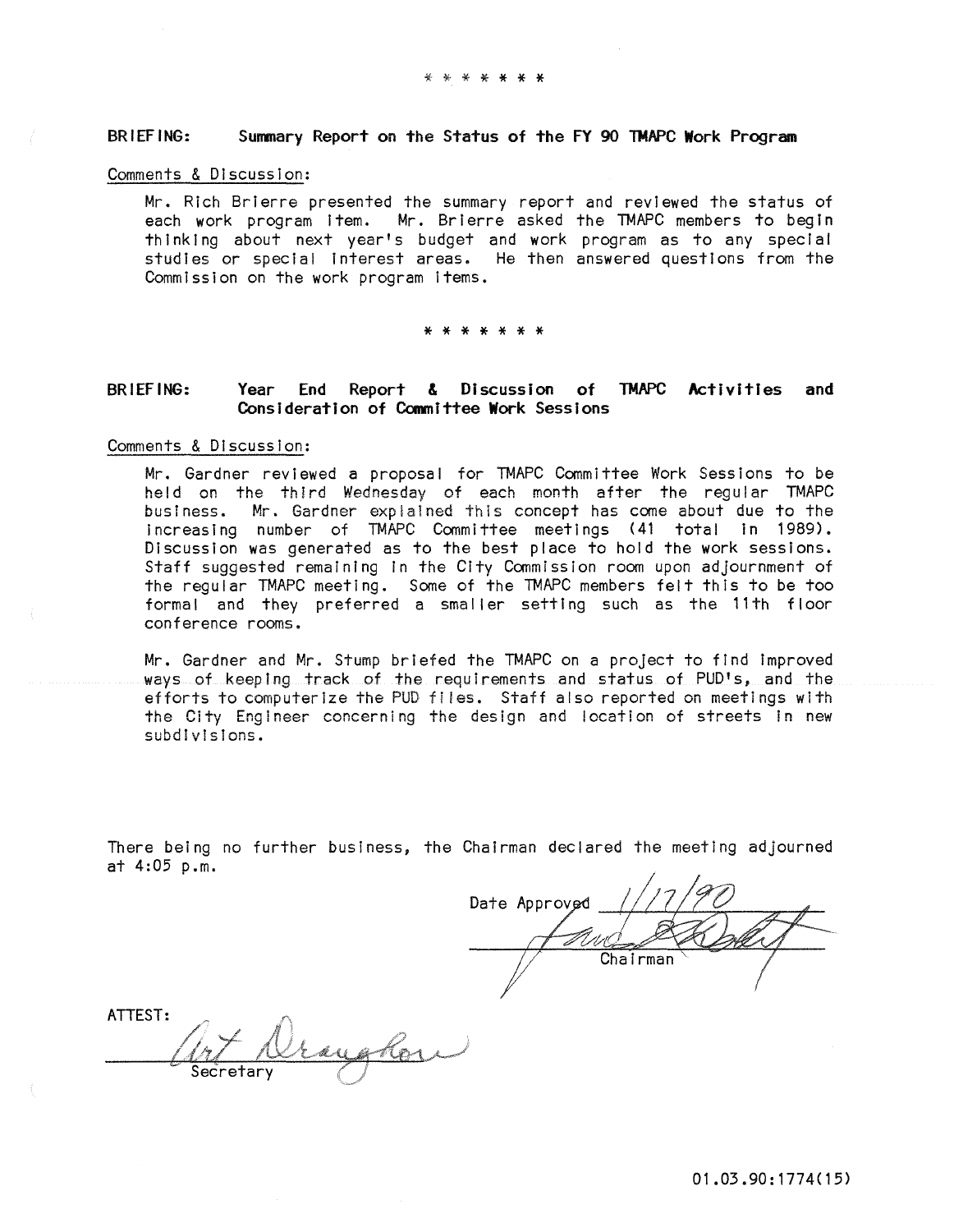### BRIEFING: Summary Report on the Status of the FY 90 TMAPC Work Program

### Comments & Discussion:

Mr. Rich Brlerre presented the summary report and reviewed the status of each work program Item. Mr. Brlerre asked the TMAPC members to begin thinking about next year's budget and work program as to any special studies or special interest areas. He then answered questions from the Commission on the work program Items.

#### \* \* \* \* \* \* \*

#### BRIEFING: Year End Report & Discussion of TMAPC Activities and COnsideration of Committee Work Sessions

### Comments & Discussion:

Mr. Gardner reviewed a proposal for TMAPC Committee Work Sessions to be held on the third Wednesday of each month after the regular TMAPC business. Mr. Gardner explained this concept has come about due to the Increasing number of TMAPC Committee meetings (41 total In 1989), Discussion was generated as to the best place to hold the work sessions. Staff suggested remaining In the City Commission room upon adjournment of the regular TMAPC meeting. Some of the TMAPC members felt this to be too formal and they preferred a smaller setting such as the 11th floor conference rooms.

Mr. Gardner and Mr. Stump briefed the TMAPC on a project to find Improved ways of keeping track of the requirements and status of PUD's, and the efforts to computerize the PUD files. Staff also reported on meetings with the City Engineer concerning the design and location of streets in new subdIvIsIons.

There being no further business, the Chairman declared the meeting adjourned at 4:05 p.m.

Date Approved Chairman

ATTEST: